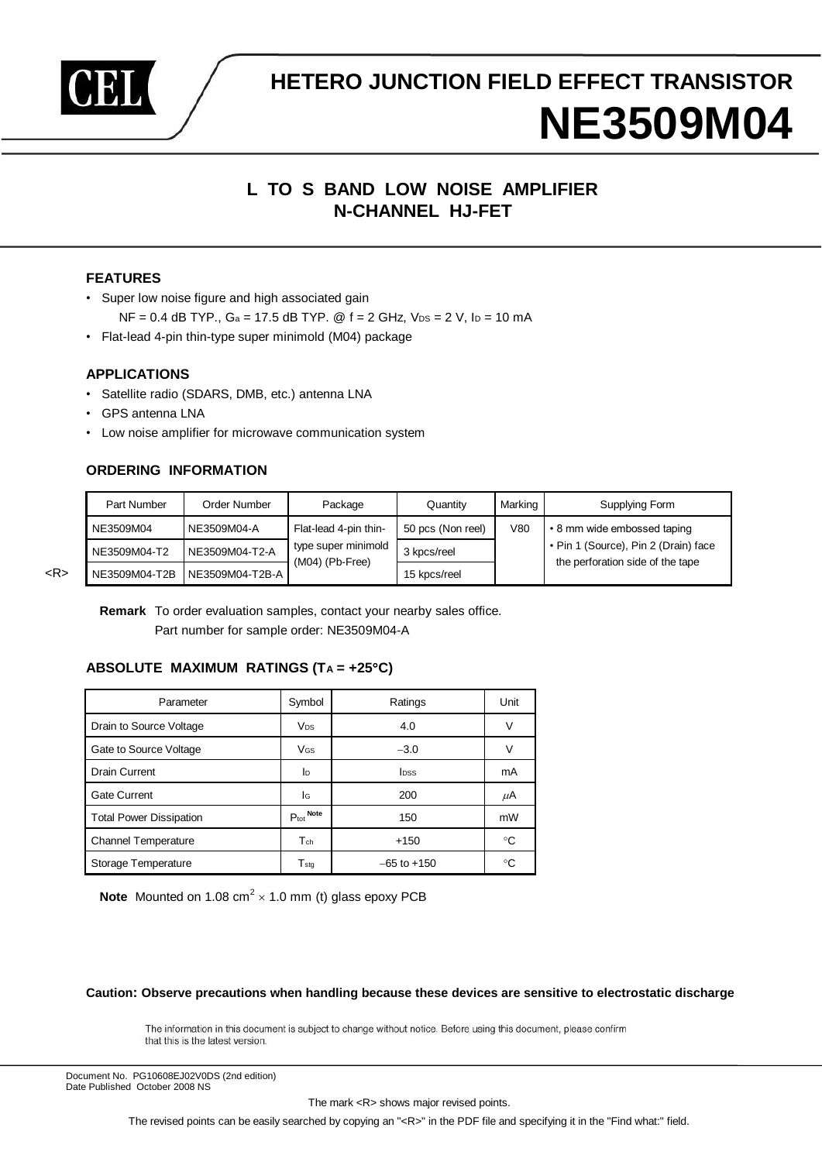

# **HETERO JUNCTION FIELD EFFECT TRANSISTOR NE3509M04**

# **L TO S BAND LOW NOISE AMPLIFIER N-CHANNEL HJ-FET**

# **FEATURES**

- Super low noise figure and high associated gain
	- $NF = 0.4$  dB TYP.,  $Ga = 17.5$  dB TYP. @  $f = 2$  GHz,  $V_{DS} = 2$  V,  $I_D = 10$  mA
- Flat-lead 4-pin thin-type super minimold (M04) package

# **APPLICATIONS**

- Satellite radio (SDARS, DMB, etc.) antenna LNA
- GPS antenna LNA
- Low noise amplifier for microwave communication system

# **ORDERING INFORMATION**

| Part Number   | Order Number    | Package                                  | Quantity          | Marking | Supplying Form                                                           |
|---------------|-----------------|------------------------------------------|-------------------|---------|--------------------------------------------------------------------------|
| NE3509M04     | NE3509M04-A     | Flat-lead 4-pin thin-                    | 50 pcs (Non reel) | V80     | • 8 mm wide embossed taping                                              |
| NE3509M04-T2  | NE3509M04-T2-A  | type super minimold<br>$(M04)$ (Pb-Free) | 3 kpcs/reel       |         | • Pin 1 (Source), Pin 2 (Drain) face<br>the perforation side of the tape |
| NE3509M04-T2B | NE3509M04-T2B-A |                                          | 15 kpcs/reel      |         |                                                                          |

<R>

**Remark** To order evaluation samples, contact your nearby sales office. Part number for sample order: NE3509M04-A

# **ABSOLUTE MAXIMUM RATINGS (T<sup>A</sup> = +25C)**

| Parameter                      | Symbol                | Ratings                 | Unit |
|--------------------------------|-----------------------|-------------------------|------|
| Drain to Source Voltage        | <b>V<sub>DS</sub></b> | 4.0                     | v    |
| Gate to Source Voltage         | V <sub>GS</sub>       | $-3.0$                  | V    |
| Drain Current                  | ID                    | <b>I</b> <sub>DSS</sub> | mA   |
| <b>Gate Current</b>            | lG                    | 200                     | μA   |
| <b>Total Power Dissipation</b> | $P_{\text{tot}}$ Note | 150                     | mW   |
| <b>Channel Temperature</b>     | $T_{ch}$              | $+150$                  | °C   |
| Storage Temperature            | $T_{\,\rm stq}$       | $-65$ to $+150$         | ℃    |

**Note** Mounted on 1.08  $\text{cm}^2 \times 1.0$  mm (t) glass epoxy PCB

**Caution: Observe precautions when handling because these devices are sensitive to electrostatic discharge**

The information in this document is subject to change without notice. Before using this document, please confirm that this is the latest version.

Document No. PG10608EJ02V0DS (2nd edition) Date Published October 2008 NS

The mark <R> shows major revised points.

The revised points can be easily searched by copying an "<R>" in the PDF file and specifying it in the "Find what:" field.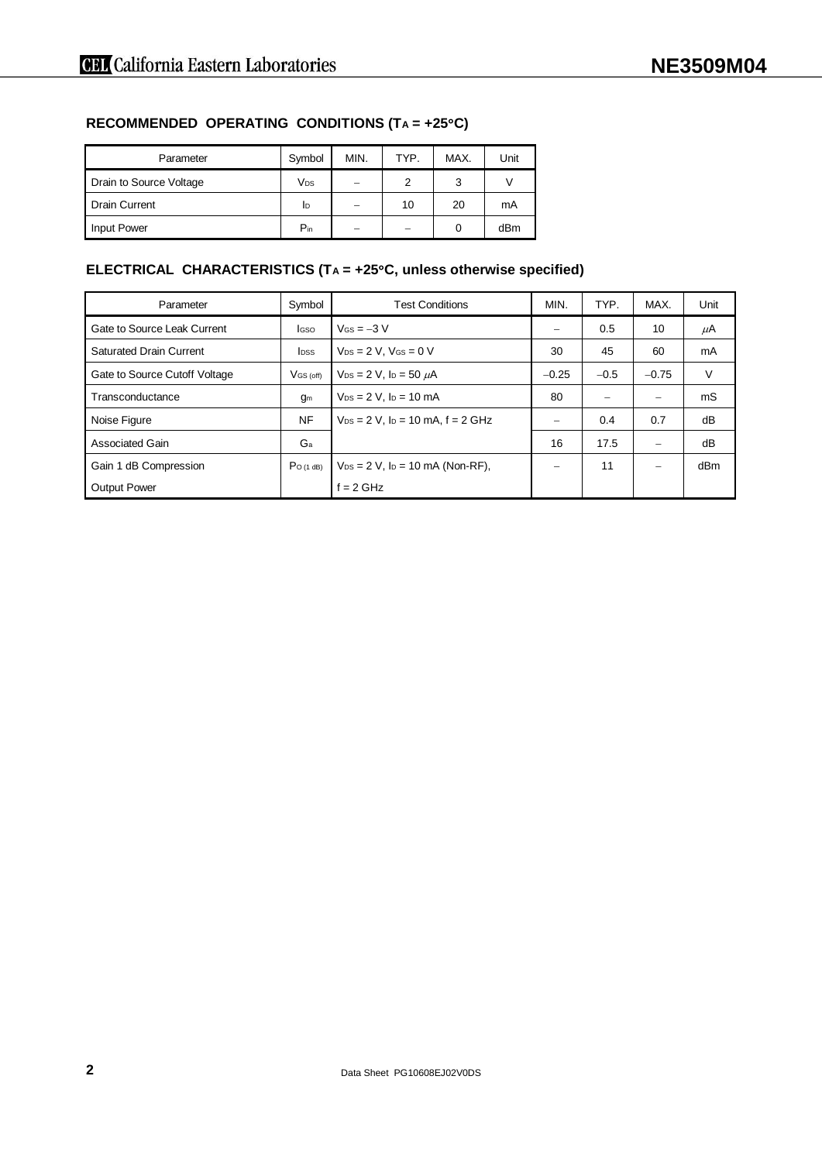# **RECOMMENDED OPERATING CONDITIONS (T<sup>A</sup> = +25C)**

| Parameter               | Symbol   | MIN. | TYP. | MAX. | Unit |
|-------------------------|----------|------|------|------|------|
| Drain to Source Voltage | Vps      | —    | 2    | 3    |      |
| Drain Current           | ID       |      | 10   | 20   | mA   |
| <b>Input Power</b>      | $P_{in}$ |      |      | 0    | dBm  |

# **ELECTRICAL CHARACTERISTICS (T<sup>A</sup> = +25C, unless otherwise specified)**

| Parameter                      | Symbol       | <b>Test Conditions</b>                      | MIN.                     | TYP.   | MAX.    | Unit            |
|--------------------------------|--------------|---------------------------------------------|--------------------------|--------|---------|-----------------|
| Gate to Source Leak Current    | <b>I</b> GSO | $V$ Gs = $-3$ V                             | $\overline{\phantom{0}}$ | 0.5    | 10      | $\mu$ A         |
| <b>Saturated Drain Current</b> | <b>I</b> pss | $V_{DS} = 2 V$ , $V_{GS} = 0 V$             | 30                       | 45     | 60      | mA              |
| Gate to Source Cutoff Voltage  | $V$ GS (off) | $V_{DS} = 2 V$ , $I_D = 50 \mu A$           | $-0.25$                  | $-0.5$ | $-0.75$ | V               |
| Transconductance               | gm           | $V_{DS} = 2 V$ . $I_D = 10$ mA              | 80                       |        |         | mS              |
| Noise Figure                   | <b>NF</b>    | $V_{DS} = 2 V$ , $I_D = 10$ mA, $f = 2$ GHz |                          | 0.4    | 0.7     | dB              |
| <b>Associated Gain</b>         | Ga           |                                             | 16                       | 17.5   |         | dB              |
| Gain 1 dB Compression          | $Po$ (1 dB)  | $V_{DS} = 2 V$ , $I_D = 10$ mA (Non-RF),    |                          | 11     |         | dB <sub>m</sub> |
| <b>Output Power</b>            |              | $f = 2$ GHz                                 |                          |        |         |                 |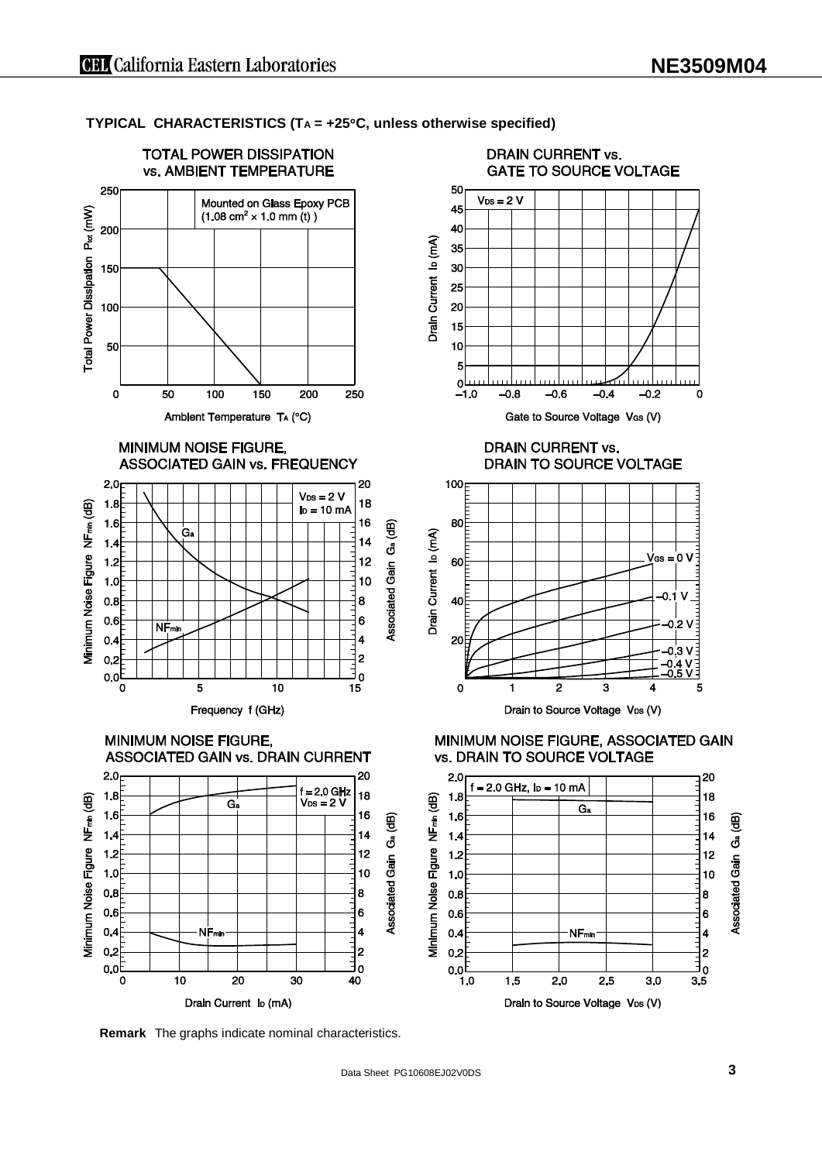**TYPICAL CHARACTERISTICS (T<sup>A</sup> = +25C, unless otherwise specified)**



**Remark** The graphs indicate nominal characteristics.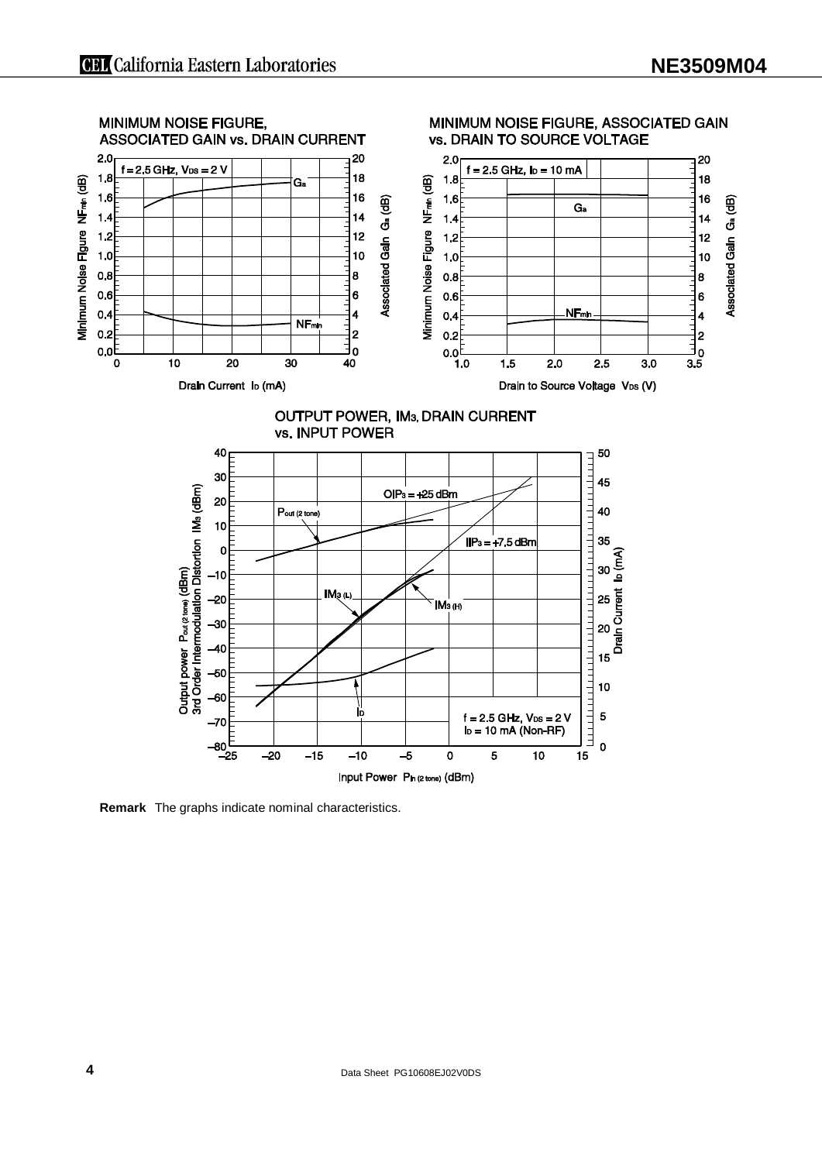

**Remark** The graphs indicate nominal characteristics.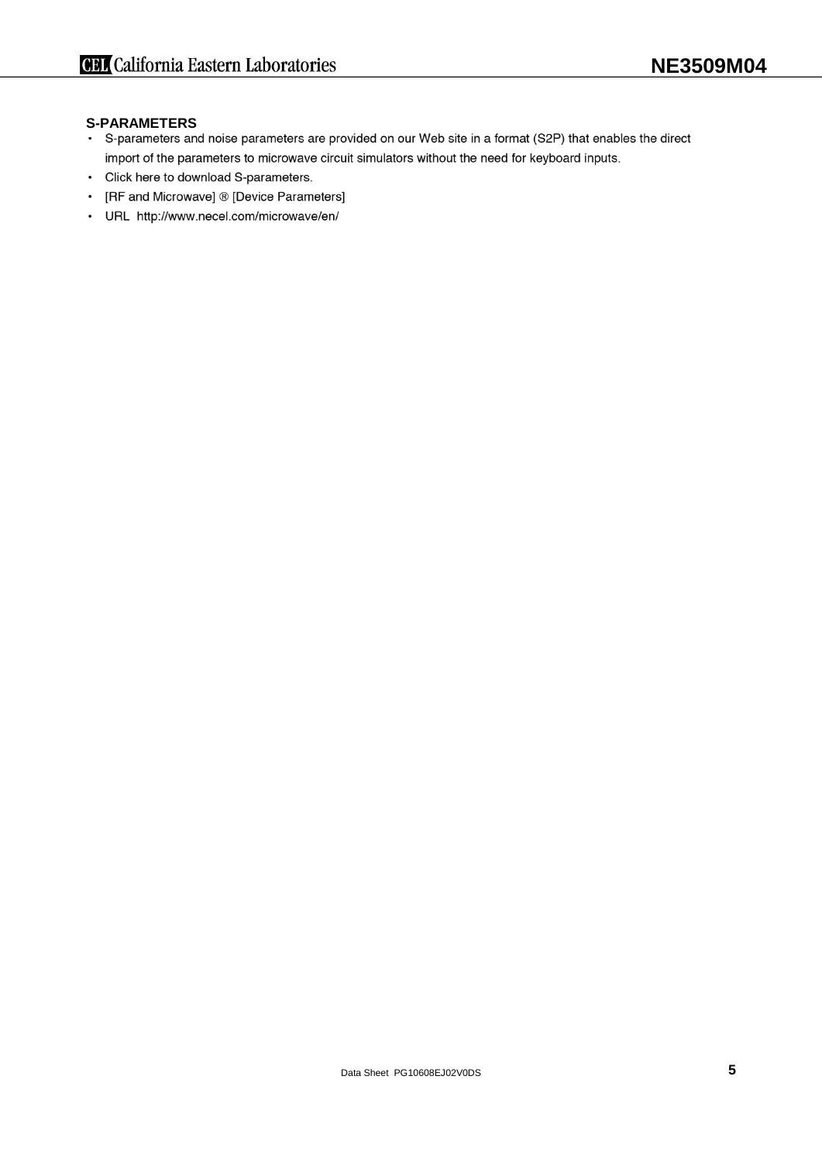- **S-PARAMETERS**<br>• S-parameters and noise parameters are provided on our Web site in a format (S2P) that enables the direct import of the parameters to microwave circuit simulators without the need for keyboard inputs.
- Click here to download S-parameters.
- [RF and Microwave] ® [Device Parameters]
- URL http://www.necel.com/microwave/en/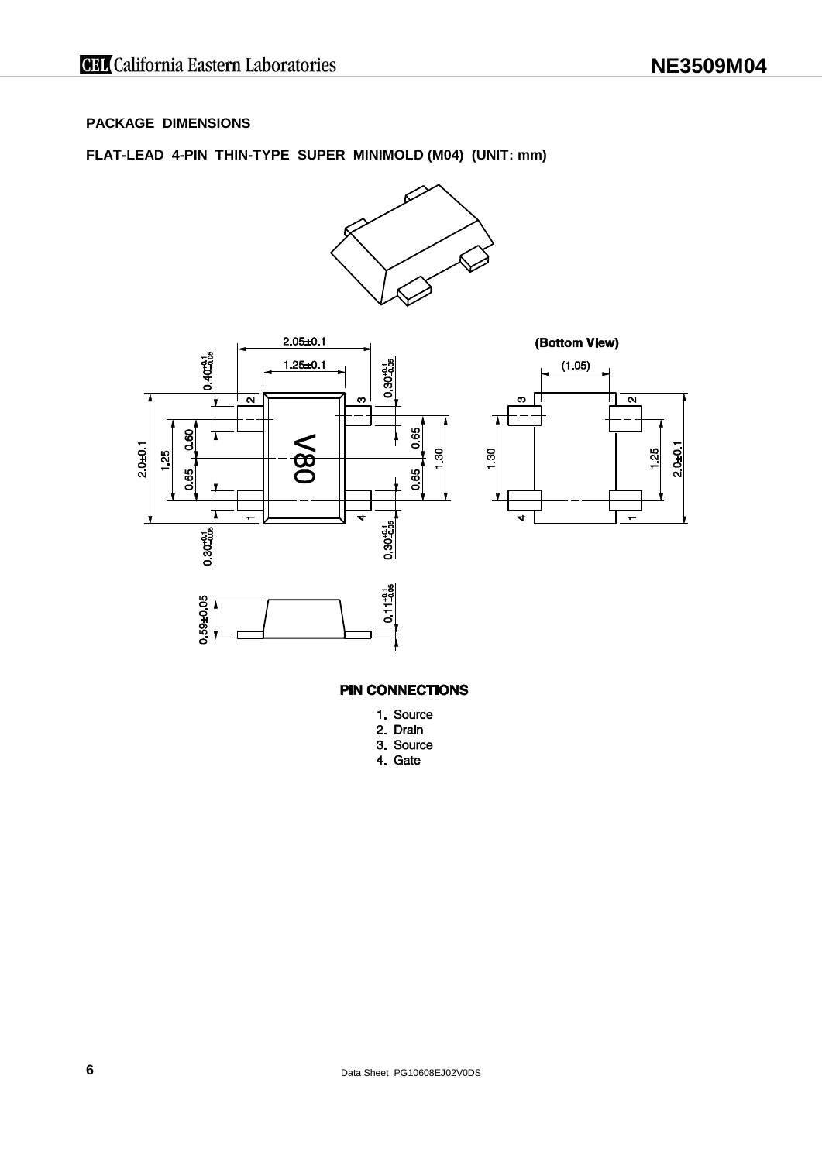# **PACKAGE DIMENSIONS**

# **FLAT-LEAD 4-PIN THIN-TYPE SUPER MINIMOLD (M04) (UNIT: mm)**







**PIN CONNECTIONS** 

- 1. Source
- 2. Drain
- 3. Source
- 4. Gate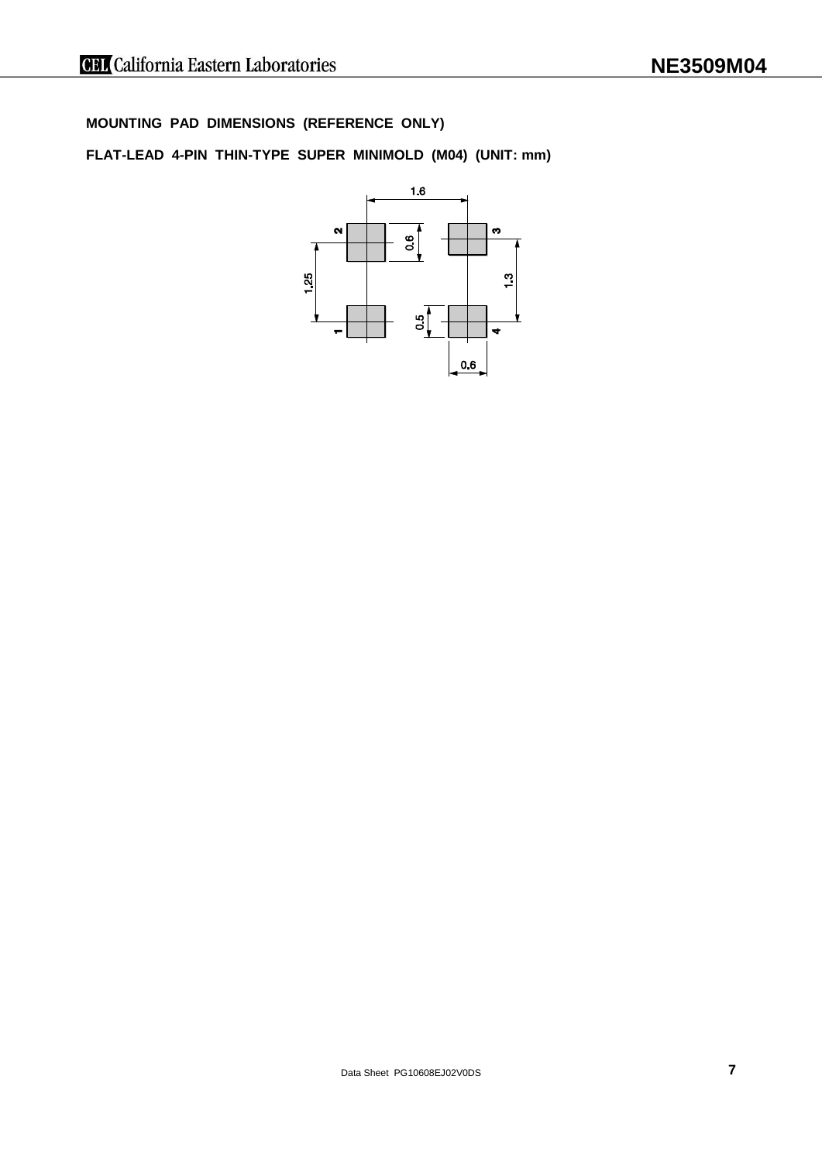**MOUNTING PAD DIMENSIONS (REFERENCE ONLY)**

**FLAT-LEAD 4-PIN THIN-TYPE SUPER MINIMOLD (M04) (UNIT: mm)**

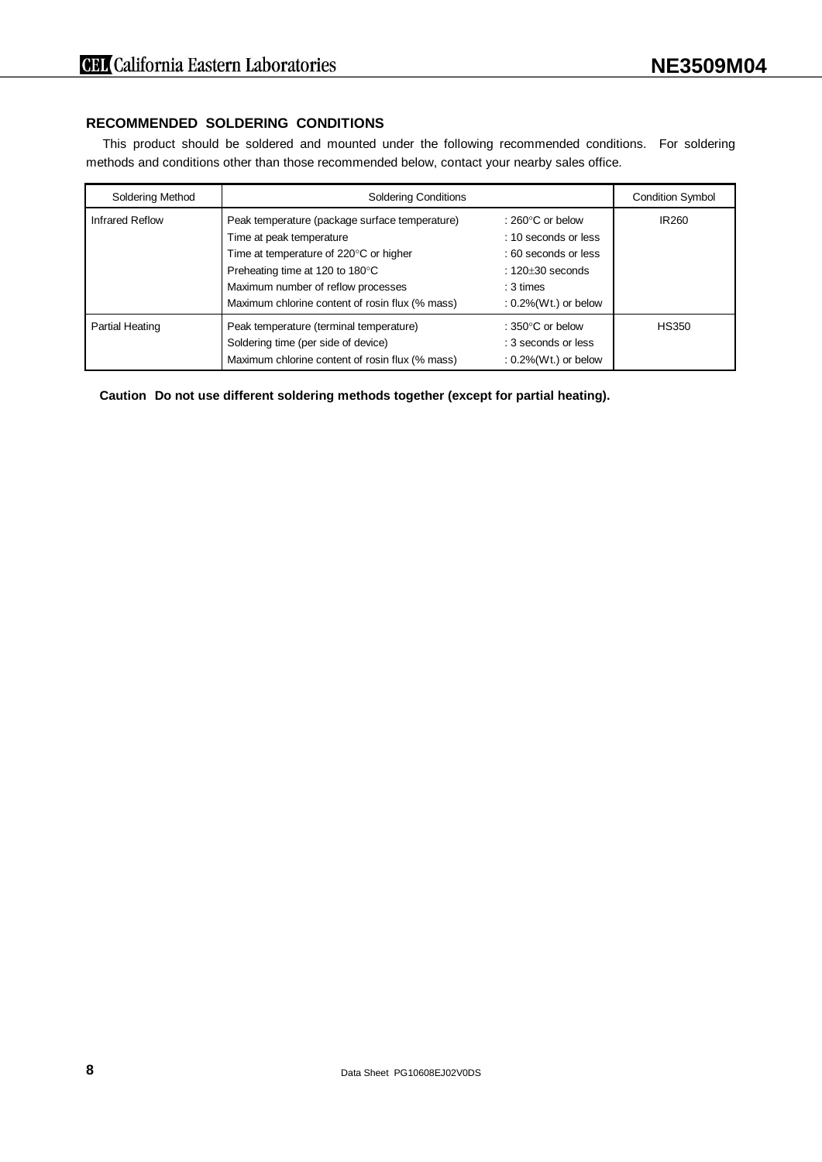# **RECOMMENDED SOLDERING CONDITIONS**

This product should be soldered and mounted under the following recommended conditions. For soldering methods and conditions other than those recommended below, contact your nearby sales office.

| Soldering Method | <b>Soldering Conditions</b>                                                                                                                                                                                                                      | <b>Condition Symbol</b>                                                                                                                        |                   |
|------------------|--------------------------------------------------------------------------------------------------------------------------------------------------------------------------------------------------------------------------------------------------|------------------------------------------------------------------------------------------------------------------------------------------------|-------------------|
| Infrared Reflow  | Peak temperature (package surface temperature)<br>Time at peak temperature<br>Time at temperature of 220°C or higher<br>Preheating time at 120 to 180°C<br>Maximum number of reflow processes<br>Maximum chlorine content of rosin flux (% mass) | : $260^{\circ}$ C or below<br>: 10 seconds or less<br>: 60 seconds or less<br>$: 120 + 30$ seconds<br>$: 3 \times$<br>$: 0.2\%$ (Wt.) or below | IR <sub>260</sub> |
| Partial Heating  | Peak temperature (terminal temperature)<br>Soldering time (per side of device)<br>Maximum chlorine content of rosin flux (% mass)                                                                                                                | : $350^{\circ}$ C or below<br>: 3 seconds or less<br>$: 0.2\%$ (Wt.) or below                                                                  | <b>HS350</b>      |

**Caution Do not use different soldering methods together (except for partial heating).**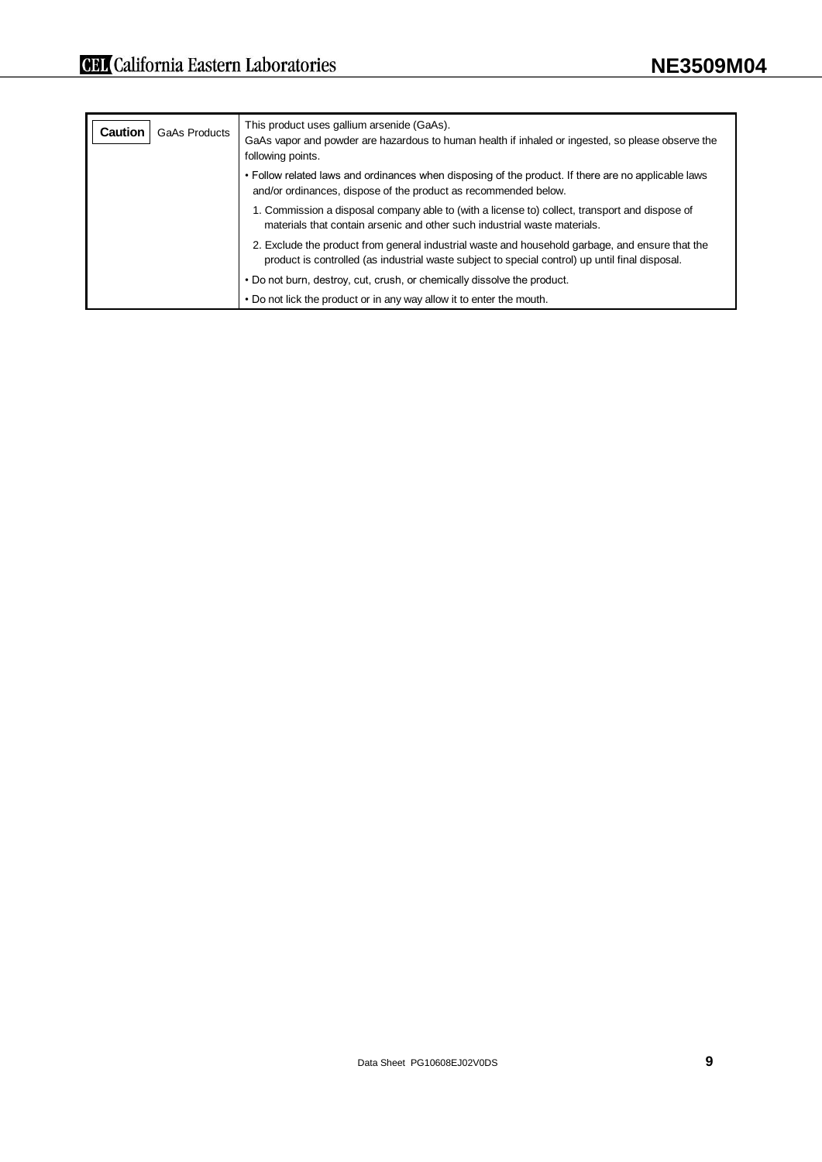| <b>Caution</b><br>GaAs Products | This product uses gallium arsenide (GaAs).<br>GaAs vapor and powder are hazardous to human health if inhaled or ingested, so please observe the<br>following points.                               |
|---------------------------------|----------------------------------------------------------------------------------------------------------------------------------------------------------------------------------------------------|
|                                 | • Follow related laws and ordinances when disposing of the product. If there are no applicable laws<br>and/or ordinances, dispose of the product as recommended below.                             |
|                                 | 1. Commission a disposal company able to (with a license to) collect, transport and dispose of<br>materials that contain arsenic and other such industrial waste materials.                        |
|                                 | 2. Exclude the product from general industrial waste and household garbage, and ensure that the<br>product is controlled (as industrial waste subject to special control) up until final disposal. |
|                                 | • Do not burn, destroy, cut, crush, or chemically dissolve the product.                                                                                                                            |
|                                 | • Do not lick the product or in any way allow it to enter the mouth.                                                                                                                               |